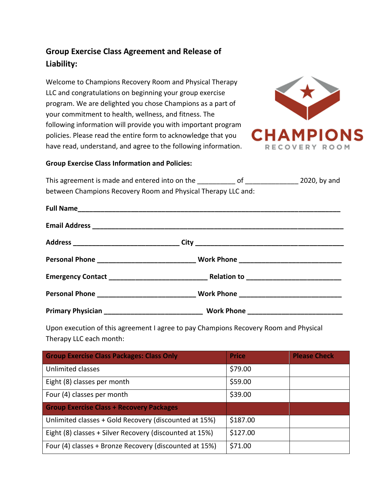## **Group Exercise Class Agreement and Release of Liability:**

Welcome to Champions Recovery Room and Physical Therapy LLC and congratulations on beginning your group exercise program. We are delighted you chose Champions as a part of your commitment to health, wellness, and fitness. The following information will provide you with important program policies. Please read the entire form to acknowledge that you have read, understand, and agree to the following information.



## **Group Exercise Class Information and Policies:**

This agreement is made and entered into on the \_\_\_\_\_\_\_\_\_\_ of \_\_\_\_\_\_\_\_ 2020, by and between Champions Recovery Room and Physical Therapy LLC and:

Upon execution of this agreement I agree to pay Champions Recovery Room and Physical Therapy LLC each month:

| <b>Group Exercise Class Packages: Class Only</b>        | <b>Price</b> | <b>Please Check</b> |
|---------------------------------------------------------|--------------|---------------------|
| <b>Unlimited classes</b>                                | \$79.00      |                     |
| Eight (8) classes per month                             | \$59.00      |                     |
| Four (4) classes per month                              | \$39.00      |                     |
| <b>Group Exercise Class + Recovery Packages</b>         |              |                     |
| Unlimited classes + Gold Recovery (discounted at 15%)   | \$187.00     |                     |
| Eight (8) classes + Silver Recovery (discounted at 15%) | \$127.00     |                     |
| Four (4) classes + Bronze Recovery (discounted at 15%)  | \$71.00      |                     |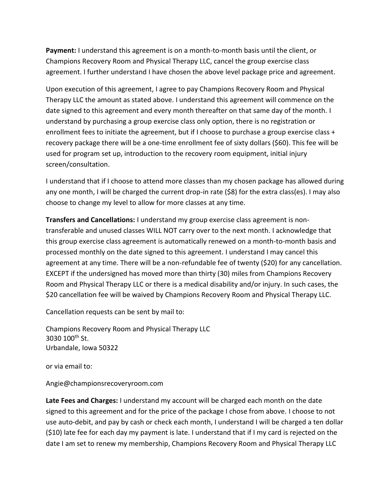**Payment:** I understand this agreement is on a month-to-month basis until the client, or Champions Recovery Room and Physical Therapy LLC, cancel the group exercise class agreement. I further understand I have chosen the above level package price and agreement.

Upon execution of this agreement, I agree to pay Champions Recovery Room and Physical Therapy LLC the amount as stated above. I understand this agreement will commence on the date signed to this agreement and every month thereafter on that same day of the month. I understand by purchasing a group exercise class only option, there is no registration or enrollment fees to initiate the agreement, but if I choose to purchase a group exercise class + recovery package there will be a one-time enrollment fee of sixty dollars (\$60). This fee will be used for program set up, introduction to the recovery room equipment, initial injury screen/consultation.

I understand that if I choose to attend more classes than my chosen package has allowed during any one month, I will be charged the current drop-in rate (\$8) for the extra class(es). I may also choose to change my level to allow for more classes at any time.

**Transfers and Cancellations:** I understand my group exercise class agreement is nontransferable and unused classes WILL NOT carry over to the next month. I acknowledge that this group exercise class agreement is automatically renewed on a month-to-month basis and processed monthly on the date signed to this agreement. I understand I may cancel this agreement at any time. There will be a non-refundable fee of twenty (\$20) for any cancellation. EXCEPT if the undersigned has moved more than thirty (30) miles from Champions Recovery Room and Physical Therapy LLC or there is a medical disability and/or injury. In such cases, the \$20 cancellation fee will be waived by Champions Recovery Room and Physical Therapy LLC.

Cancellation requests can be sent by mail to:

Champions Recovery Room and Physical Therapy LLC 3030 100th St. Urbandale, Iowa 50322

or via email to:

Angie@championsrecoveryroom.com

**Late Fees and Charges:** I understand my account will be charged each month on the date signed to this agreement and for the price of the package I chose from above. I choose to not use auto-debit, and pay by cash or check each month, I understand I will be charged a ten dollar (\$10) late fee for each day my payment is late. I understand that if I my card is rejected on the date I am set to renew my membership, Champions Recovery Room and Physical Therapy LLC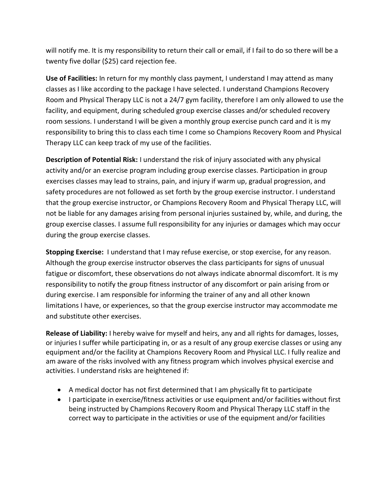will notify me. It is my responsibility to return their call or email, if I fail to do so there will be a twenty five dollar (\$25) card rejection fee.

**Use of Facilities:** In return for my monthly class payment, I understand I may attend as many classes as I like according to the package I have selected. I understand Champions Recovery Room and Physical Therapy LLC is not a 24/7 gym facility, therefore I am only allowed to use the facility, and equipment, during scheduled group exercise classes and/or scheduled recovery room sessions. I understand I will be given a monthly group exercise punch card and it is my responsibility to bring this to class each time I come so Champions Recovery Room and Physical Therapy LLC can keep track of my use of the facilities.

**Description of Potential Risk:** I understand the risk of injury associated with any physical activity and/or an exercise program including group exercise classes. Participation in group exercises classes may lead to strains, pain, and injury if warm up, gradual progression, and safety procedures are not followed as set forth by the group exercise instructor. I understand that the group exercise instructor, or Champions Recovery Room and Physical Therapy LLC, will not be liable for any damages arising from personal injuries sustained by, while, and during, the group exercise classes. I assume full responsibility for any injuries or damages which may occur during the group exercise classes.

**Stopping Exercise:** I understand that I may refuse exercise, or stop exercise, for any reason. Although the group exercise instructor observes the class participants for signs of unusual fatigue or discomfort, these observations do not always indicate abnormal discomfort. It is my responsibility to notify the group fitness instructor of any discomfort or pain arising from or during exercise. I am responsible for informing the trainer of any and all other known limitations I have, or experiences, so that the group exercise instructor may accommodate me and substitute other exercises.

**Release of Liability:** I hereby waive for myself and heirs, any and all rights for damages, losses, or injuries I suffer while participating in, or as a result of any group exercise classes or using any equipment and/or the facility at Champions Recovery Room and Physical LLC. I fully realize and am aware of the risks involved with any fitness program which involves physical exercise and activities. I understand risks are heightened if:

- A medical doctor has not first determined that I am physically fit to participate
- I participate in exercise/fitness activities or use equipment and/or facilities without first being instructed by Champions Recovery Room and Physical Therapy LLC staff in the correct way to participate in the activities or use of the equipment and/or facilities